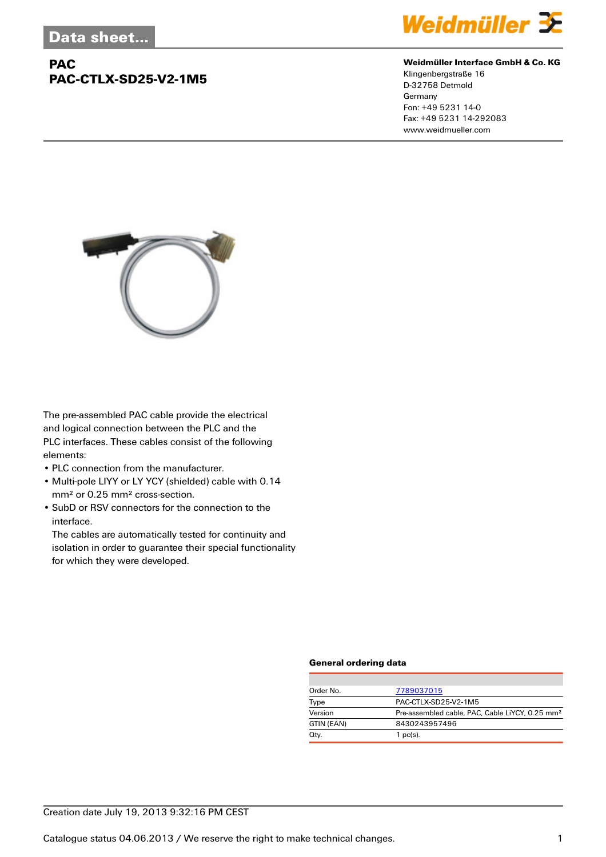## **PAC PAC-CTLX-SD25-V2-1M5**



#### **Weidmüller Interface GmbH & Co. KG**

Klingenbergstraße 16 D-32758 Detmold Germany Fon: +49 5231 14-0 Fax: +49 5231 14-292083 www.weidmueller.com



The pre-assembled PAC cable provide the electrical and logical connection between the PLC and the PLC interfaces. These cables consist of the following elements:

- PLC connection from the manufacturer.
- Multi-pole LIYY or LY YCY (shielded) cable with 0.14 mm² or 0.25 mm² cross-section.
- SubD or RSV connectors for the connection to the interface.

The cables are automatically tested for continuity and isolation in order to guarantee their special functionality for which they were developed.

#### **General ordering data**

| Order No.  | 7789037015                                                  |  |
|------------|-------------------------------------------------------------|--|
| Type       | PAC-CTLX-SD25-V2-1M5                                        |  |
| Version    | Pre-assembled cable, PAC, Cable LiYCY, 0.25 mm <sup>2</sup> |  |
| GTIN (EAN) | 8430243957496                                               |  |
| Qty.       | 1 $pc(s)$ .                                                 |  |